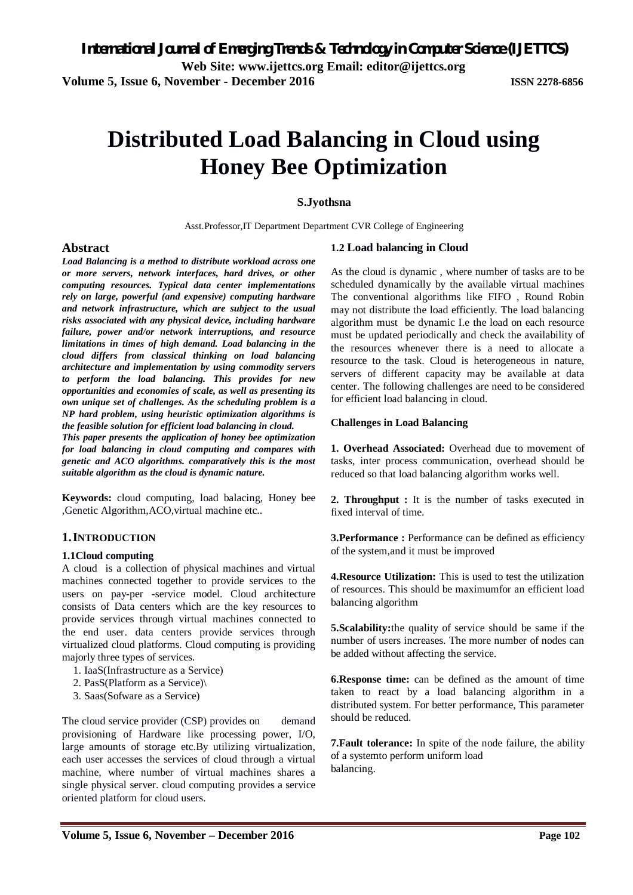# **Distributed Load Balancing in Cloud using Honey Bee Optimization**

#### **S.Jyothsna**

Asst.Professor,IT Department Department CVR College of Engineering

#### **Abstract**

*Load Balancing is a method to distribute workload across one or more servers, network interfaces, hard drives, or other computing resources. Typical data center implementations rely on large, powerful (and expensive) computing hardware and network infrastructure, which are subject to the usual risks associated with any physical device, including hardware failure, power and/or network interruptions, and resource limitations in times of high demand. Load balancing in the cloud differs from classical thinking on load balancing architecture and implementation by using commodity servers to perform the load balancing. This provides for new opportunities and economies of scale, as well as presenting its own unique set of challenges. As the scheduling problem is a NP hard problem, using heuristic optimization algorithms is the feasible solution for efficient load balancing in cloud.* 

*This paper presents the application of honey bee optimization for load balancing in cloud computing and compares with genetic and ACO algorithms. comparatively this is the most suitable algorithm as the cloud is dynamic nature.*

**Keywords:** cloud computing, load balacing, Honey bee ,Genetic Algorithm,ACO,virtual machine etc..

#### **1.INTRODUCTION**

#### **1.1Cloud computing**

A cloud is a collection of physical machines and virtual machines connected together to provide services to the users on pay-per -service model. Cloud architecture consists of Data centers which are the key resources to provide services through virtual machines connected to the end user. data centers provide services through virtualized cloud platforms. Cloud computing is providing majorly three types of services.

- 1. IaaS(Infrastructure as a Service)
- 2. PasS(Platform as a Service)\
- 3. Saas(Sofware as a Service)

The cloud service provider (CSP) provides on demand provisioning of Hardware like processing power, I/O, large amounts of storage etc.By utilizing virtualization, each user accesses the services of cloud through a virtual machine, where number of virtual machines shares a single physical server. cloud computing provides a service oriented platform for cloud users.

#### **1.2 Load balancing in Cloud**

As the cloud is dynamic , where number of tasks are to be scheduled dynamically by the available virtual machines The conventional algorithms like FIFO , Round Robin may not distribute the load efficiently. The load balancing algorithm must be dynamic I.e the load on each resource must be updated periodically and check the availability of the resources whenever there is a need to allocate a resource to the task. Cloud is heterogeneous in nature, servers of different capacity may be available at data center. The following challenges are need to be considered for efficient load balancing in cloud.

#### **Challenges in Load Balancing**

**1. Overhead Associated:** Overhead due to movement of tasks, inter process communication, overhead should be reduced so that load balancing algorithm works well.

**2. Throughput :** It is the number of tasks executed in fixed interval of time.

**3.Performance :** Performance can be defined as efficiency of the system,and it must be improved

**4.Resource Utilization:** This is used to test the utilization of resources. This should be maximumfor an efficient load balancing algorithm

**5.Scalability:**the quality of service should be same if the number of users increases. The more number of nodes can be added without affecting the service.

**6.Response time:** can be defined as the amount of time taken to react by a load balancing algorithm in a distributed system. For better performance, This parameter should be reduced.

**7.Fault tolerance:** In spite of the node failure, the ability of a systemto perform uniform load balancing.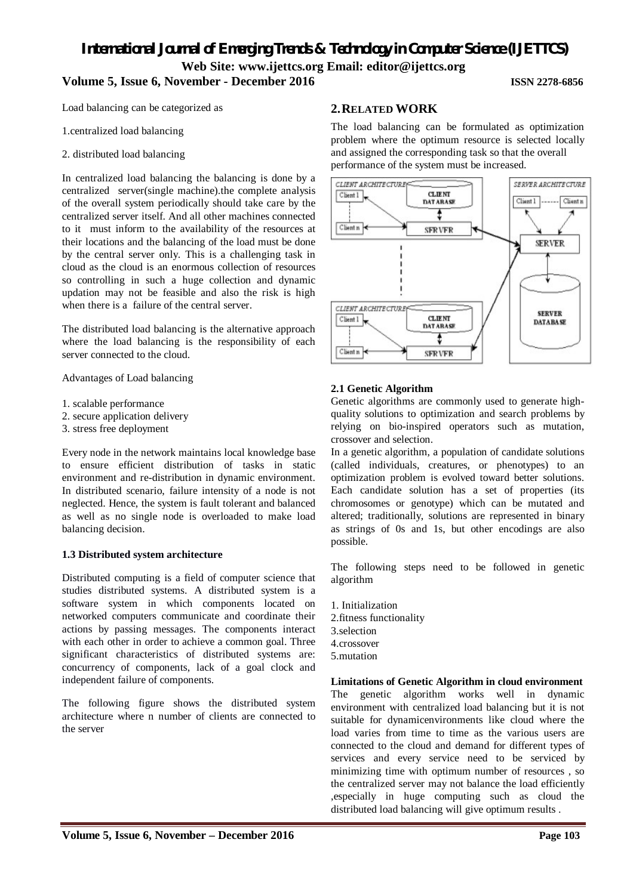## *International Journal of Emerging Trends & Technology in Computer Science (IJETTCS)* **Web Site: www.ijettcs.org Email: editor@ijettcs.org Volume 5, Issue 6, November - December 2016 ISSN 2278-6856**

Load balancing can be categorized as

1.centralized load balancing

2. distributed load balancing

In centralized load balancing the balancing is done by a centralized server(single machine).the complete analysis of the overall system periodically should take care by the centralized server itself. And all other machines connected to it must inform to the availability of the resources at their locations and the balancing of the load must be done by the central server only. This is a challenging task in cloud as the cloud is an enormous collection of resources so controlling in such a huge collection and dynamic updation may not be feasible and also the risk is high when there is a failure of the central server.

The distributed load balancing is the alternative approach where the load balancing is the responsibility of each server connected to the cloud.

Advantages of Load balancing

- 1. scalable performance
- 2. secure application delivery
- 3. stress free deployment

Every node in the network maintains local knowledge base to ensure efficient distribution of tasks in static environment and re-distribution in dynamic environment. In distributed scenario, failure intensity of a node is not neglected. Hence, the system is fault tolerant and balanced as well as no single node is overloaded to make load balancing decision.

#### **1.3 Distributed system architecture**

Distributed computing is a field of computer science that studies distributed systems. A distributed system is a software system in which components located on networked computers communicate and coordinate their actions by passing messages. The components interact with each other in order to achieve a common goal. Three significant characteristics of distributed systems are: concurrency of components, lack of a goal clock and independent failure of components.

The following figure shows the distributed system architecture where n number of clients are connected to the server

#### **2.RELATED WORK**

The load balancing can be formulated as optimization problem where the optimum resource is selected locally and assigned the corresponding task so that the overall performance of the system must be increased.



#### **2.1 Genetic Algorithm**

Genetic algorithms are commonly used to generate highquality solutions to optimization and search problems by relying on bio-inspired operators such as mutation, crossover and selection.

In a genetic algorithm, a population of candidate solutions (called individuals, creatures, or phenotypes) to an optimization problem is evolved toward better solutions. Each candidate solution has a set of properties (its chromosomes or genotype) which can be mutated and altered; traditionally, solutions are represented in binary as strings of 0s and 1s, but other encodings are also possible.

The following steps need to be followed in genetic algorithm

1. Initialization 2.fitness functionality 3.selection 4.crossover 5.mutation

#### **Limitations of Genetic Algorithm in cloud environment**

The genetic algorithm works well in dynamic environment with centralized load balancing but it is not suitable for dynamicenvironments like cloud where the load varies from time to time as the various users are connected to the cloud and demand for different types of services and every service need to be serviced by minimizing time with optimum number of resources , so the centralized server may not balance the load efficiently ,especially in huge computing such as cloud the distributed load balancing will give optimum results .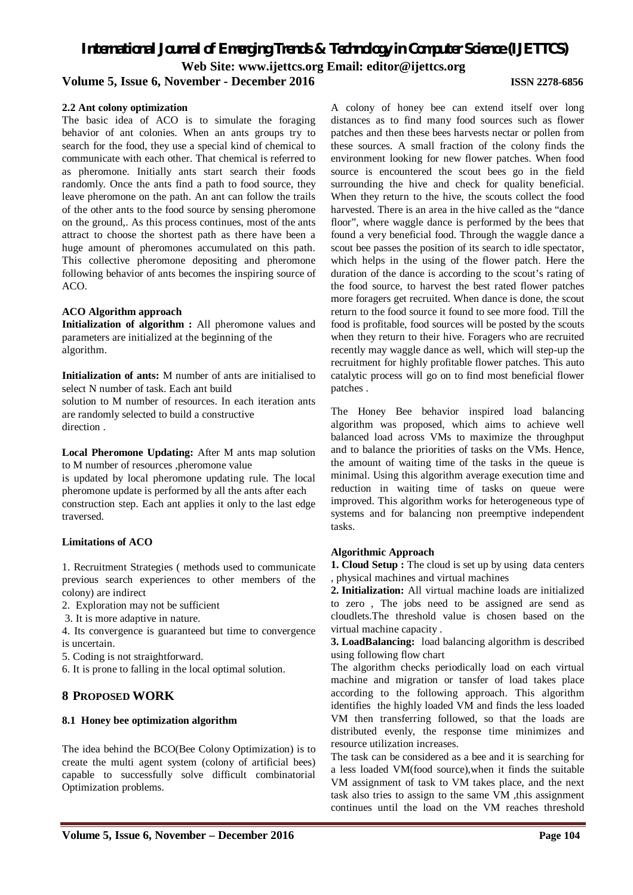# *International Journal of Emerging Trends & Technology in Computer Science (IJETTCS)* **Web Site: www.ijettcs.org Email: editor@ijettcs.org**

#### **Volume 5, Issue 6, November - December 2016 ISSN 2278-6856**

#### **2.2 Ant colony optimization**

The basic idea of ACO is to simulate the foraging behavior of ant colonies. When an ants groups try to search for the food, they use a special kind of chemical to communicate with each other. That chemical is referred to as pheromone. Initially ants start search their foods randomly. Once the ants find a path to food source, they leave pheromone on the path. An ant can follow the trails of the other ants to the food source by sensing pheromone on the ground,. As this process continues, most of the ants attract to choose the shortest path as there have been a huge amount of pheromones accumulated on this path. This collective pheromone depositing and pheromone following behavior of ants becomes the inspiring source of ACO.

#### **ACO Algorithm approach**

**Initialization of algorithm :** All pheromone values and parameters are initialized at the beginning of the algorithm.

**Initialization of ants:** M number of ants are initialised to select N number of task. Each ant build

solution to M number of resources. In each iteration ants are randomly selected to build a constructive direction .

**Local Pheromone Updating:** After M ants map solution to M number of resources ,pheromone value

is updated by local pheromone updating rule. The local pheromone update is performed by all the ants after each construction step. Each ant applies it only to the last edge traversed.

#### **Limitations of ACO**

1. Recruitment Strategies ( methods used to communicate previous search experiences to other members of the colony) are indirect

2. Exploration may not be sufficient

3. It is more adaptive in nature.

4. Its convergence is guaranteed but time to convergence is uncertain.

5. Coding is not straightforward.

6. It is prone to falling in the local optimal solution.

#### **8 PROPOSED WORK**

#### **8.1 Honey bee optimization algorithm**

The idea behind the BCO(Bee Colony Optimization) is to create the multi agent system (colony of artificial bees) capable to successfully solve difficult combinatorial Optimization problems.

A colony of honey bee can extend itself over long distances as to find many food sources such as flower patches and then these bees harvests nectar or pollen from these sources. A small fraction of the colony finds the environment looking for new flower patches. When food source is encountered the scout bees go in the field surrounding the hive and check for quality beneficial. When they return to the hive, the scouts collect the food harvested. There is an area in the hive called as the "dance floor", where waggle dance is performed by the bees that found a very beneficial food. Through the waggle dance a scout bee passes the position of its search to idle spectator, which helps in the using of the flower patch. Here the duration of the dance is according to the scout's rating of the food source, to harvest the best rated flower patches more foragers get recruited. When dance is done, the scout return to the food source it found to see more food. Till the food is profitable, food sources will be posted by the scouts when they return to their hive. Foragers who are recruited recently may waggle dance as well, which will step-up the recruitment for highly profitable flower patches. This auto catalytic process will go on to find most beneficial flower patches .

The Honey Bee behavior inspired load balancing algorithm was proposed, which aims to achieve well balanced load across VMs to maximize the throughput and to balance the priorities of tasks on the VMs. Hence, the amount of waiting time of the tasks in the queue is minimal. Using this algorithm average execution time and reduction in waiting time of tasks on queue were improved. This algorithm works for heterogeneous type of systems and for balancing non preemptive independent tasks.

#### **Algorithmic Approach**

**1. Cloud Setup :** The cloud is set up by using data centers , physical machines and virtual machines

**2. Initialization:** All virtual machine loads are initialized to zero , The jobs need to be assigned are send as cloudlets.The threshold value is chosen based on the virtual machine capacity .

**3. LoadBalancing:** load balancing algorithm is described using following flow chart

The algorithm checks periodically load on each virtual machine and migration or tansfer of load takes place according to the following approach. This algorithm identifies the highly loaded VM and finds the less loaded VM then transferring followed, so that the loads are distributed evenly, the response time minimizes and resource utilization increases.

The task can be considered as a bee and it is searching for a less loaded VM(food source),when it finds the suitable VM assignment of task to VM takes place, and the next task also tries to assign to the same VM ,this assignment continues until the load on the VM reaches threshold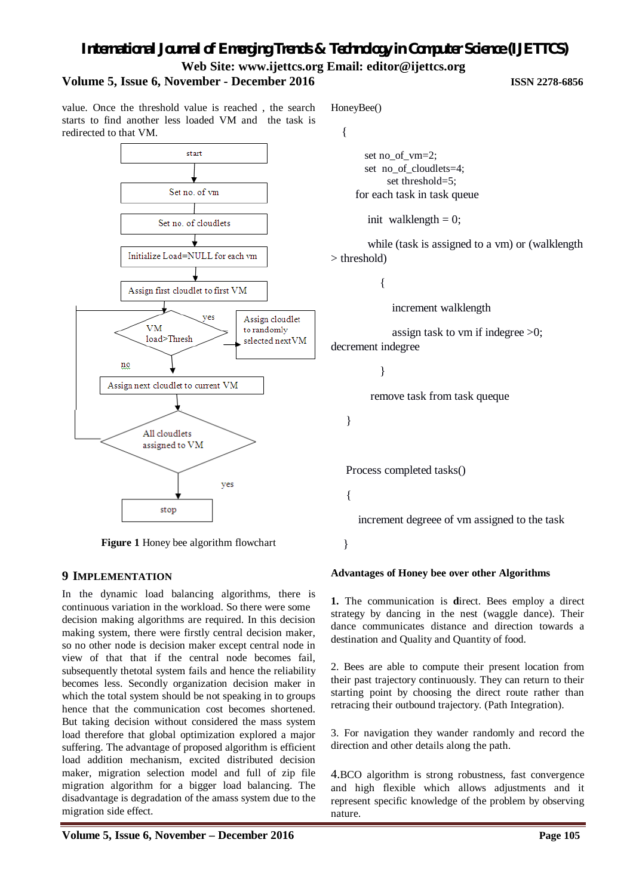# *International Journal of Emerging Trends & Technology in Computer Science (IJETTCS)* **Web Site: www.ijettcs.org Email: editor@ijettcs.org**

### **Volume 5, Issue 6, November - December 2016 ISSN 2278-6856**

value. Once the threshold value is reached , the search starts to find another less loaded VM and the task is redirected to that VM.



**Figure 1** Honey bee algorithm flowchart

#### **9 IMPLEMENTATION**

In the dynamic load balancing algorithms, there is continuous variation in the workload. So there were some decision making algorithms are required. In this decision making system, there were firstly central decision maker, so no other node is decision maker except central node in view of that that if the central node becomes fail, subsequently thetotal system fails and hence the reliability becomes less. Secondly organization decision maker in which the total system should be not speaking in to groups hence that the communication cost becomes shortened. But taking decision without considered the mass system load therefore that global optimization explored a major suffering. The advantage of proposed algorithm is efficient load addition mechanism, excited distributed decision maker, migration selection model and full of zip file migration algorithm for a bigger load balancing. The disadvantage is degradation of the amass system due to the migration side effect.

HoneyBee()

```
 {
```
 set no\_of\_vm=2; set no\_of\_cloudlets=4; set threshold=5; for each task in task queue

init walklength  $= 0$ ;

 while (task is assigned to a vm) or (walklength > threshold)

 $\left\{ \begin{array}{c} \end{array} \right\}$ 

increment walklength

assign task to vm if indegree  $>0$ ; decrement indegree

}

remove task from task queque

}

Process completed tasks()

{

increment degreee of vm assigned to the task

}

#### **Advantages of Honey bee over other Algorithms**

**1.** The communication is **d**irect. Bees employ a direct strategy by dancing in the nest (waggle dance). Their dance communicates distance and direction towards a destination and Quality and Quantity of food.

2. Bees are able to compute their present location from their past trajectory continuously. They can return to their starting point by choosing the direct route rather than retracing their outbound trajectory. (Path Integration).

3. For navigation they wander randomly and record the direction and other details along the path.

4.BCO algorithm is strong robustness, fast convergence and high flexible which allows adjustments and it represent specific knowledge of the problem by observing nature.